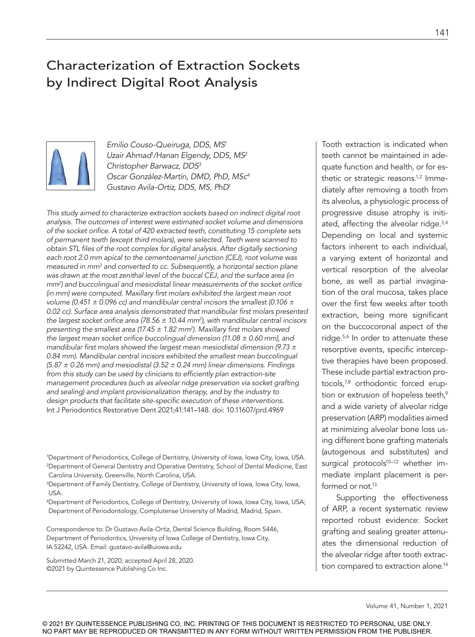# Characterization of Extraction Sockets by Indirect Digital Root Analysis



*Emilio Couso-Queiruga, DDS, MS1 Uzair Ahmad1 /Hanan Elgendy, DDS, MS2 Christopher Barwacz, DDS3 Oscar González-Martín, DMD, PhD, MSc4 Gustavo Avila-Ortiz, DDS, MS, PhD1*

*This study aimed to characterize extraction sockets based on indirect digital root analysis. The outcomes of interest were estimated socket volume and dimensions of the socket orifice. A total of 420 extracted teeth, constituting 15 complete sets of permanent teeth (except third molars), were selected. Teeth were scanned to obtain STL files of the root complex for digital analysis. After digitally sectioning each root 2.0 mm apical to the cementoenamel junction (CEJ), root volume was measured in mm3 and converted to cc. Subsequently, a horizontal section plane was drawn at the most zenithal level of the buccal CEJ, and the surface area (in mm2) and buccolingual and mesiodistal linear measurements of the socket orifice (in mm) were computed. Maxillary first molars exhibited the largest mean root volume (0.451 ± 0.096 cc) and mandibular central incisors the smallest (0.106 ±*  0.02 cc). Surface area analysis demonstrated that mandibular first molars presented *the largest socket orifice area (78.56 ± 10.44 mm2), with mandibular central incisors presenting the smallest area (17.45 ± 1.82 mm2). Maxillary first molars showed the largest mean socket orifice buccolingual dimension (11.08 ± 0.60 mm), and mandibular first molars showed the largest mean mesiodistal dimension (9.73 ±*  0.84 mm). Mandibular central incisors exhibited the smallest mean buccolingual *(5.87 ± 0.26 mm) and mesiodistal (3.52 ± 0.24 mm) linear dimensions. Findings from this study can be used by clinicians to efficiently plan extraction-site management procedures (such as alveolar ridge preservation via socket grafting and sealing) and implant provisionalization therapy, and by the industry to design products that facilitate site-specific execution of these interventions.*  Int J Periodontics Restorative Dent 2021;41:141–148. doi: 10.11607/prd.4969

1Department of Periodontics, College of Dentistry, University of Iowa, Iowa City, Iowa, USA. 2Department of General Dentistry and Operative Dentistry, School of Dental Medicine, East Carolina University, Greenville, North Carolina, USA.

3Department of Family Dentistry, College of Dentistry, University of Iowa, Iowa City, Iowa, USA.

4Department of Periodontics, College of Dentistry, University of Iowa, Iowa City, Iowa, USA; Department of Periodontology, Complutense University of Madrid, Madrid, Spain.

Correspondence to: Dr Gustavo Avila-Ortiz, Dental Science Building, Room S446, Department of Periodontics, University of Iowa College of Dentistry, Iowa City, IA 52242, USA. Email: gustavo-avila@uiowa.edu

Submitted March 21, 2020; accepted April 28, 2020. ©2021 by Quintessence Publishing Co Inc.

Tooth extraction is indicated when teeth cannot be maintained in adequate function and health, or for esthetic or strategic reasons.<sup>1,2</sup> Immediately after removing a tooth from its alveolus, a physiologic process of progressive disuse atrophy is initiated, affecting the alveolar ridge.3,4 Depending on local and systemic factors inherent to each individual, a varying extent of horizontal and vertical resorption of the alveolar bone, as well as partial invagination of the oral mucosa, takes place over the first few weeks after tooth extraction, being more significant on the buccocoronal aspect of the ridge.5,6 In order to attenuate these resorptive events, specific interceptive therapies have been proposed. These include partial extraction protocols,7,8 orthodontic forced eruption or extrusion of hopeless teeth,<sup>9</sup> and a wide variety of alveolar ridge preservation (ARP) modalities aimed at minimizing alveolar bone loss using different bone grafting materials (autogenous and substitutes) and surgical protocols<sup>10-12</sup> whether immediate implant placement is performed or not.<sup>13</sup>

Supporting the effectiveness of ARP, a recent systematic review reported robust evidence: Socket grafting and sealing greater attenuates the dimensional reduction of the alveolar ridge after tooth extraction compared to extraction alone.14

Volume 41, Number 1, 2021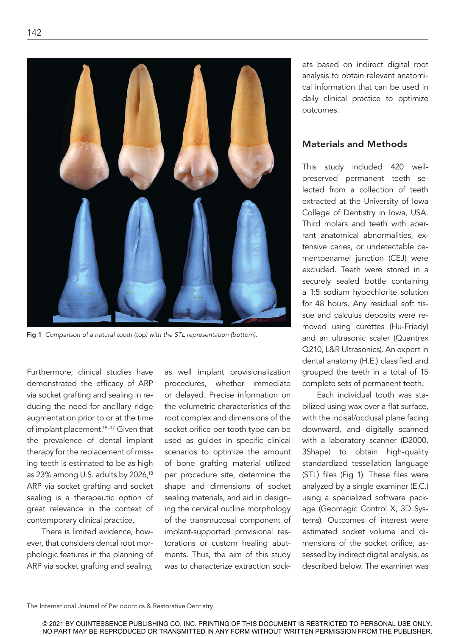

Fig 1 *Comparison of a natural tooth (top) with the STL representation (bottom).* 

Furthermore, clinical studies have demonstrated the efficacy of ARP via socket grafting and sealing in reducing the need for ancillary ridge augmentation prior to or at the time of implant placement.<sup>15-17</sup> Given that the prevalence of dental implant therapy for the replacement of missing teeth is estimated to be as high as 23% among U.S. adults by 2026,18 ARP via socket grafting and socket sealing is a therapeutic option of great relevance in the context of contemporary clinical practice.

There is limited evidence, however, that considers dental root morphologic features in the planning of ARP via socket grafting and sealing,

as well implant provisionalization procedures, whether immediate or delayed. Precise information on the volumetric characteristics of the root complex and dimensions of the socket orifice per tooth type can be used as guides in specific clinical scenarios to optimize the amount of bone grafting material utilized per procedure site, determine the shape and dimensions of socket sealing materials, and aid in designing the cervical outline morphology of the transmucosal component of implant-supported provisional restorations or custom healing abutments. Thus, the aim of this study was to characterize extraction sockets based on indirect digital root analysis to obtain relevant anatomical information that can be used in daily clinical practice to optimize outcomes.

# Materials and Methods

This study included 420 wellpreserved permanent teeth selected from a collection of teeth extracted at the University of Iowa College of Dentistry in Iowa, USA. Third molars and teeth with aberrant anatomical abnormalities, extensive caries, or undetectable cementoenamel junction (CEJ) were excluded. Teeth were stored in a securely sealed bottle containing a 1:5 sodium hypochlorite solution for 48 hours. Any residual soft tissue and calculus deposits were removed using curettes (Hu-Friedy) and an ultrasonic scaler (Quantrex Q210, L&R Ultrasonics). An expert in dental anatomy (H.E.) classified and grouped the teeth in a total of 15 complete sets of permanent teeth.

Each individual tooth was stabilized using wax over a flat surface, with the incisal/occlusal plane facing downward, and digitally scanned with a laboratory scanner (D2000, 3Shape) to obtain high-quality standardized tessellation language (STL) files (Fig 1). These files were analyzed by a single examiner (E.C.) using a specialized software package (Geomagic Control X, 3D Systems). Outcomes of interest were estimated socket volume and dimensions of the socket orifice, assessed by indirect digital analysis, as described below. The examiner was

The International Journal of Periodontics & Restorative Dentistry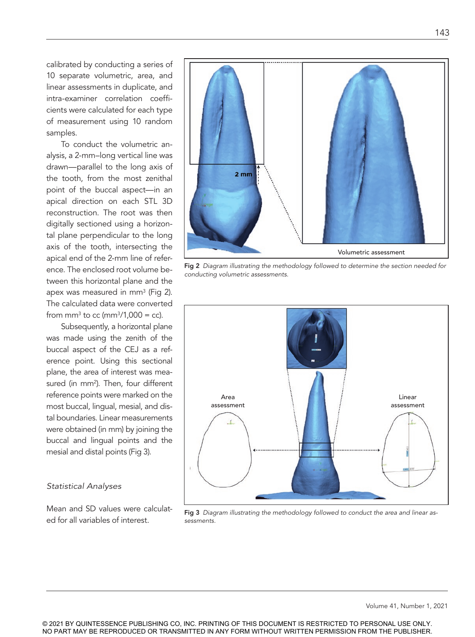calibrated by conducting a series of 10 separate volumetric, area, and linear assessments in duplicate, and intra-examiner correlation coefficients were calculated for each type of measurement using 10 random samples.

To conduct the volumetric analysis, a 2-mm–long vertical line was drawn—parallel to the long axis of the tooth, from the most zenithal point of the buccal aspect—in an apical direction on each STL 3D reconstruction. The root was then digitally sectioned using a horizontal plane perpendicular to the long axis of the tooth, intersecting the apical end of the 2-mm line of reference. The enclosed root volume between this horizontal plane and the apex was measured in mm<sup>3</sup> (Fig 2). The calculated data were converted from mm<sup>3</sup> to cc (mm<sup>3</sup>/1,000 = cc).

Subsequently, a horizontal plane was made using the zenith of the buccal aspect of the CEJ as a reference point. Using this sectional plane, the area of interest was measured (in mm<sup>2</sup>). Then, four different reference points were marked on the most buccal, lingual, mesial, and distal boundaries. Linear measurements were obtained (in mm) by joining the buccal and lingual points and the mesial and distal points (Fig 3).

### *Statistical Analyses*

Mean and SD values were calculated for all variables of interest.



Fig 2 *Diagram illustrating the methodology followed to determine the section needed for conducting volumetric assessments.*



Fig 3 *Diagram illustrating the methodology followed to conduct the area and linear assessments.* 

Volume 41, Number 1, 2021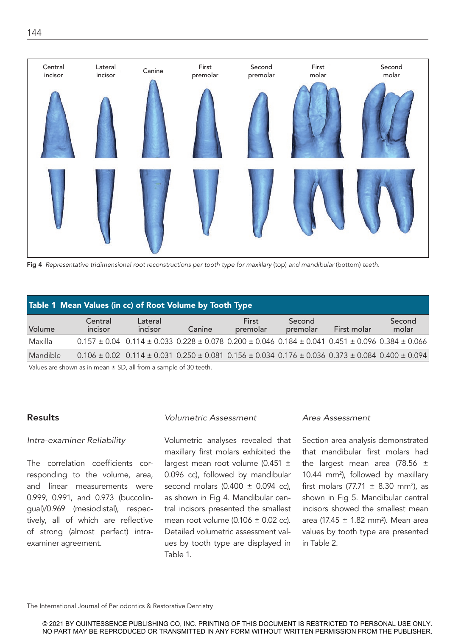

Fig 4 *Representative tridimensional root reconstructions per tooth type for maxillary* (top) *and mandibular* (bottom) *teeth.* 

| Table 1 Mean Values (in cc) of Root Volume by Tooth Type          |                    |                                                                                                                              |        |                   |                    |             |                 |  |  |
|-------------------------------------------------------------------|--------------------|------------------------------------------------------------------------------------------------------------------------------|--------|-------------------|--------------------|-------------|-----------------|--|--|
| Volume                                                            | Central<br>incisor | Lateral<br>incisor                                                                                                           | Canine | First<br>premolar | Second<br>premolar | First molar | Second<br>molar |  |  |
| Maxilla                                                           |                    | $0.157 \pm 0.04$ $0.114 \pm 0.033$ $0.228 \pm 0.078$ $0.200 \pm 0.046$ $0.184 \pm 0.041$ $0.451 \pm 0.096$ $0.384 \pm 0.066$ |        |                   |                    |             |                 |  |  |
| Mandible                                                          |                    | $0.106 \pm 0.02$ $0.114 \pm 0.031$ $0.250 \pm 0.081$ $0.156 \pm 0.034$ $0.176 \pm 0.036$ $0.373 \pm 0.084$ $0.400 \pm 0.094$ |        |                   |                    |             |                 |  |  |
| Values are shown as in mean $+$ SD, all from a sample of 30 tooth |                    |                                                                                                                              |        |                   |                    |             |                 |  |  |

Values are shown as in mean ± SD, all from a sample of 30 teeth.

# Results

## *Intra-examiner Reliability*

The correlation coefficients corresponding to the volume, area, and linear measurements were 0.999, 0.991, and 0.973 (buccolingual)/0.969 (mesiodistal), respectively, all of which are reflective of strong (almost perfect) intraexaminer agreement.

### *Volumetric Assessment*

Volumetric analyses revealed that maxillary first molars exhibited the largest mean root volume (0.451 ± 0.096 cc), followed by mandibular second molars (0.400  $\pm$  0.094 cc), as shown in Fig 4. Mandibular central incisors presented the smallest mean root volume  $(0.106 \pm 0.02 \text{ cc})$ . Detailed volumetric assessment values by tooth type are displayed in Table 1.

#### *Area Assessment*

Section area analysis demonstrated that mandibular first molars had the largest mean area (78.56 ± 10.44 mm2), followed by maxillary first molars (77.71  $\pm$  8.30 mm<sup>2</sup>), as shown in Fig 5. Mandibular central incisors showed the smallest mean area (17.45  $\pm$  1.82 mm<sup>2</sup>). Mean area values by tooth type are presented in Table 2.

The International Journal of Periodontics & Restorative Dentistry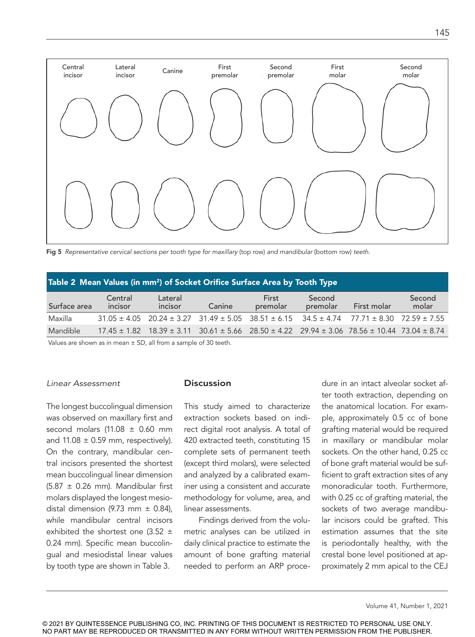

Fig 5 *Representative cervical sections per tooth type for maxillary* (top row) *and mandibular* (bottom row) *teeth.*

| Table 2 Mean Values (in mm <sup>2</sup> ) of Socket Orifice Surface Area by Tooth Type |                    |                    |        |                   |                    |                                                                                                                         |                 |  |  |
|----------------------------------------------------------------------------------------|--------------------|--------------------|--------|-------------------|--------------------|-------------------------------------------------------------------------------------------------------------------------|-----------------|--|--|
| Surface area                                                                           | Central<br>incisor | Lateral<br>incisor | Canine | First<br>premolar | Second<br>premolar | First molar                                                                                                             | Second<br>molar |  |  |
| Maxilla                                                                                |                    |                    |        |                   |                    | $31.05 \pm 4.05$ $20.24 \pm 3.27$ $31.49 \pm 5.05$ $38.51 \pm 6.15$ $34.5 \pm 4.74$ $77.71 \pm 8.30$ $72.59 \pm 7.55$   |                 |  |  |
| Mandible                                                                               |                    |                    |        |                   |                    | $17.45 \pm 1.82$ $18.39 \pm 3.11$ $30.61 \pm 5.66$ $28.50 \pm 4.22$ $29.94 \pm 3.06$ $78.56 \pm 10.44$ $73.04 \pm 8.74$ |                 |  |  |

Values are shown as in mean  $\pm$  SD, all from a sample of 30 teeth.

#### *Linear Assessment*

The longest buccolingual dimension was observed on maxillary first and second molars (11.08  $\pm$  0.60 mm and  $11.08 \pm 0.59$  mm, respectively). On the contrary, mandibular central incisors presented the shortest mean buccolingual linear dimension  $(5.87 \pm 0.26 \text{ mm})$ . Mandibular first molars displayed the longest mesiodistal dimension (9.73 mm  $\pm$  0.84), while mandibular central incisors exhibited the shortest one (3.52 ± 0.24 mm). Specific mean buccolingual and mesiodistal linear values by tooth type are shown in Table 3.

### **Discussion**

This study aimed to characterize extraction sockets based on indirect digital root analysis. A total of 420 extracted teeth, constituting 15 complete sets of permanent teeth (except third molars), were selected and analyzed by a calibrated examiner using a consistent and accurate methodology for volume, area, and linear assessments.

Findings derived from the volumetric analyses can be utilized in daily clinical practice to estimate the amount of bone grafting material needed to perform an ARP procedure in an intact alveolar socket after tooth extraction, depending on the anatomical location. For example, approximately 0.5 cc of bone grafting material would be required in maxillary or mandibular molar sockets. On the other hand, 0.25 cc of bone graft material would be sufficient to graft extraction sites of any monoradicular tooth. Furthermore, with 0.25 cc of grafting material, the sockets of two average mandibular incisors could be grafted. This estimation assumes that the site is periodontally healthy, with the crestal bone level positioned at approximately 2 mm apical to the CEJ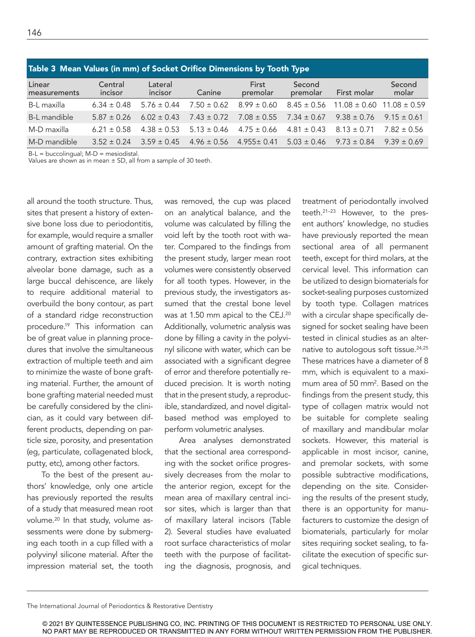| Table 3 Mean Values (in mm) of Socket Orifice Dimensions by Tooth Type |                    |                    |                 |                   |                    |                                   |                 |  |  |
|------------------------------------------------------------------------|--------------------|--------------------|-----------------|-------------------|--------------------|-----------------------------------|-----------------|--|--|
| Linear<br>measurements                                                 | Central<br>incisor | Lateral<br>incisor | Canine          | First<br>premolar | Second<br>premolar | First molar                       | Second<br>molar |  |  |
| B-L maxilla                                                            | $6.34 \pm 0.48$    | $5.76 \pm 0.44$    | $7.50 \pm 0.62$ | $8.99 \pm 0.60$   | $8.45 \pm 0.56$    | $11.08 \pm 0.60$ 11.08 $\pm$ 0.59 |                 |  |  |
| B-L mandible                                                           | $5.87 \pm 0.26$    | $6.02 \pm 0.43$    | $7.43 \pm 0.72$ | $7.08 \pm 0.55$   | $7.34 \pm 0.67$    | $9.38 \pm 0.76$                   | $9.15 \pm 0.61$ |  |  |
| M-D maxilla                                                            | $6.21 \pm 0.58$    | $4.38 \pm 0.53$    | $5.13 \pm 0.46$ | $4.75 \pm 0.66$   | $4.81 \pm 0.43$    | $8.13 \pm 0.71$                   | $7.82 \pm 0.56$ |  |  |
| M-D mandible                                                           | $3.52 \pm 0.24$    | $3.59 \pm 0.45$    | $4.96 \pm 0.56$ | $4.955 \pm 0.41$  | $5.03 \pm 0.46$    | $9.73 \pm 0.84$                   | $9.39 \pm 0.69$ |  |  |

B-L = buccolingual; M-D = mesiodistal.

Values are shown as in mean  $\pm$  SD, all from a sample of 30 teeth.

all around the tooth structure. Thus, sites that present a history of extensive bone loss due to periodontitis, for example, would require a smaller amount of grafting material. On the contrary, extraction sites exhibiting alveolar bone damage, such as a large buccal dehiscence, are likely to require additional material to overbuild the bony contour, as part of a standard ridge reconstruction procedure.19 This information can be of great value in planning procedures that involve the simultaneous extraction of multiple teeth and aim to minimize the waste of bone grafting material. Further, the amount of bone grafting material needed must be carefully considered by the clinician, as it could vary between different products, depending on particle size, porosity, and presentation (eg, particulate, collagenated block, putty, etc), among other factors.

To the best of the present authors' knowledge, only one article has previously reported the results of a study that measured mean root volume.20 In that study, volume assessments were done by submerging each tooth in a cup filled with a polyvinyl silicone material. After the impression material set, the tooth

was removed, the cup was placed on an analytical balance, and the volume was calculated by filling the void left by the tooth root with water. Compared to the findings from the present study, larger mean root volumes were consistently observed for all tooth types. However, in the previous study, the investigators assumed that the crestal bone level was at 1.50 mm apical to the CEJ.20 Additionally, volumetric analysis was done by filling a cavity in the polyvinyl silicone with water, which can be associated with a significant degree of error and therefore potentially reduced precision. It is worth noting that in the present study, a reproducible, standardized, and novel digitalbased method was employed to perform volumetric analyses.

Area analyses demonstrated that the sectional area corresponding with the socket orifice progressively decreases from the molar to the anterior region, except for the mean area of maxillary central incisor sites, which is larger than that of maxillary lateral incisors (Table 2). Several studies have evaluated root surface characteristics of molar teeth with the purpose of facilitating the diagnosis, prognosis, and treatment of periodontally involved teeth.21–23 However, to the present authors' knowledge, no studies have previously reported the mean sectional area of all permanent teeth, except for third molars, at the cervical level. This information can be utilized to design biomaterials for socket-sealing purposes customized by tooth type. Collagen matrices with a circular shape specifically designed for socket sealing have been tested in clinical studies as an alternative to autologous soft tissue.<sup>24,25</sup> These matrices have a diameter of 8 mm, which is equivalent to a maximum area of 50 mm<sup>2</sup>. Based on the findings from the present study, this type of collagen matrix would not be suitable for complete sealing of maxillary and mandibular molar sockets. However, this material is applicable in most incisor, canine, and premolar sockets, with some possible subtractive modifications, depending on the site. Considering the results of the present study, there is an opportunity for manufacturers to customize the design of biomaterials, particularly for molar sites requiring socket sealing, to facilitate the execution of specific surgical techniques.

```
The International Journal of Periodontics & Restorative Dentistry
```
<sup>© 2021</sup> BY QUINTESSENCE PUBLISHING CO, INC. PRINTING OF THIS DOCUMENT IS RESTRICTED TO PERSONAL USE ONLY. NO PART MAY BE REPRODUCED OR TRANSMITTED IN ANY FORM WITHOUT WRITTEN PERMISSION FROM THE PUBLISHER.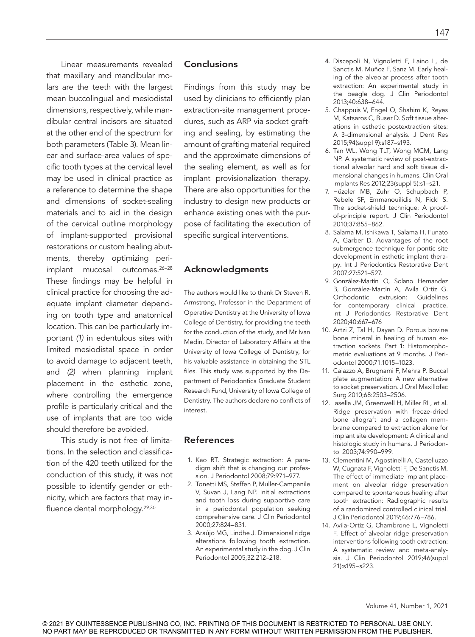Linear measurements revealed that maxillary and mandibular molars are the teeth with the largest mean buccolingual and mesiodistal dimensions, respectively, while mandibular central incisors are situated at the other end of the spectrum for both parameters (Table 3). Mean linear and surface-area values of specific tooth types at the cervical level may be used in clinical practice as a reference to determine the shape and dimensions of socket-sealing materials and to aid in the design of the cervical outline morphology of implant-supported provisional restorations or custom healing abutments, thereby optimizing periimplant mucosal outcomes.26–28 These findings may be helpful in clinical practice for choosing the adequate implant diameter depending on tooth type and anatomical location. This can be particularly important *(1)* in edentulous sites with limited mesiodistal space in order to avoid damage to adjacent teeth, and *(2)* when planning implant placement in the esthetic zone, where controlling the emergence profile is particularly critical and the use of implants that are too wide should therefore be avoided.

This study is not free of limitations. In the selection and classification of the 420 teeth utilized for the conduction of this study, it was not possible to identify gender or ethnicity, which are factors that may influence dental morphology.29,30

# **Conclusions**

Findings from this study may be used by clinicians to efficiently plan extraction-site management procedures, such as ARP via socket grafting and sealing, by estimating the amount of grafting material required and the approximate dimensions of the sealing element, as well as for implant provisionalization therapy. There are also opportunities for the industry to design new products or enhance existing ones with the purpose of facilitating the execution of specific surgical interventions.

# Acknowledgments

The authors would like to thank Dr Steven R. Armstrong, Professor in the Department of Operative Dentistry at the University of Iowa College of Dentistry, for providing the teeth for the conduction of the study, and Mr Ivan Medin, Director of Laboratory Affairs at the University of Iowa College of Dentistry, for his valuable assistance in obtaining the STL files. This study was supported by the Department of Periodontics Graduate Student Research Fund, University of Iowa College of Dentistry. The authors declare no conflicts of interest.

# References

- 1. Kao RT. Strategic extraction: A paradigm shift that is changing our profession. J Periodontol 2008;79:971–977.
- 2. Tonetti MS, Steffen P, Muller-Campanile V, Suvan J, Lang NP. Initial extractions and tooth loss during supportive care in a periodontal population seeking comprehensive care. J Clin Periodontol 2000;27:824–831.
- 3. Araújo MG, Lindhe J. Dimensional ridge alterations following tooth extraction. An experimental study in the dog. J Clin Periodontol 2005;32:212–218.
- 4. Discepoli N, Vignoletti F, Laino L, de Sanctis M, Muñoz F, Sanz M. Early healing of the alveolar process after tooth extraction: An experimental study in the beagle dog. J Clin Periodontol 2013;40:638–644.
- 5. Chappuis V, Engel O, Shahim K, Reyes M, Katsaros C, Buser D. Soft tissue alterations in esthetic postextraction sites: A 3-dimensional analysis. J Dent Res 2015;94(suppl 9):s187–s193.
- 6. Tan WL, Wong TLT, Wong MCM, Lang NP. A systematic review of post-extractional alveolar hard and soft tissue dimensional changes in humans. Clin Oral Implants Res 2012;23(suppl 5):s1–s21.
- 7. Hüzeler MB, Zuhr O, Schupbach P, Rebele SF, Emmanouilidis N, Fickl S. The socket-shield technique: A proofof-principle report. J Clin Periodontol 2010;37:855–862.
- 8. Salama M, Ishikawa T, Salama H, Funato A, Garber D. Advantages of the root submergence technique for pontic site development in esthetic implant therapy. Int J Periodontics Restorative Dent 2007;27:521–527.
- 9. González-Martín O, Solano Hernandez B, González-Martín A, Avila Ortiz G. Orthodontic extrusion: Guidelines for contemporary clinical practice. Int J Periodontics Restorative Dent 2020;40:667–676
- 10. Artzi Z, Tal H, Dayan D. Porous bovine bone mineral in healing of human extraction sockets. Part 1: Histomorphometric evaluations at 9 months. J Periodontol 2000;71:1015–1023.
- 11. Caiazzo A, Brugnami F, Mehra P. Buccal plate augmentation: A new alternative to socket preservation. J Oral Maxillofac Surg 2010;68:2503–2506.
- 12. Iasella JM, Greenwell H, Miller RL, et al. Ridge preservation with freeze-dried bone allograft and a collagen membrane compared to extraction alone for implant site development: A clinical and histologic study in humans. J Periodontol 2003;74:990–999.
- 13. Clementini M, Agostinelli A, Castelluzzo W, Cugnata F, Vignoletti F, De Sanctis M. The effect of immediate implant placement on alveolar ridge preservation compared to spontaneous healing after tooth extraction: Radiographic results of a randomized controlled clinical trial. J Clin Periodontol 2019;46:776–786.
- 14. Avila-Ortiz G, Chambrone L, Vignoletti F. Effect of alveolar ridge preservation interventions following tooth extraction: A systematic review and meta-analysis. J Clin Periodontol 2019;46(suppl 21):s195–s223.

147